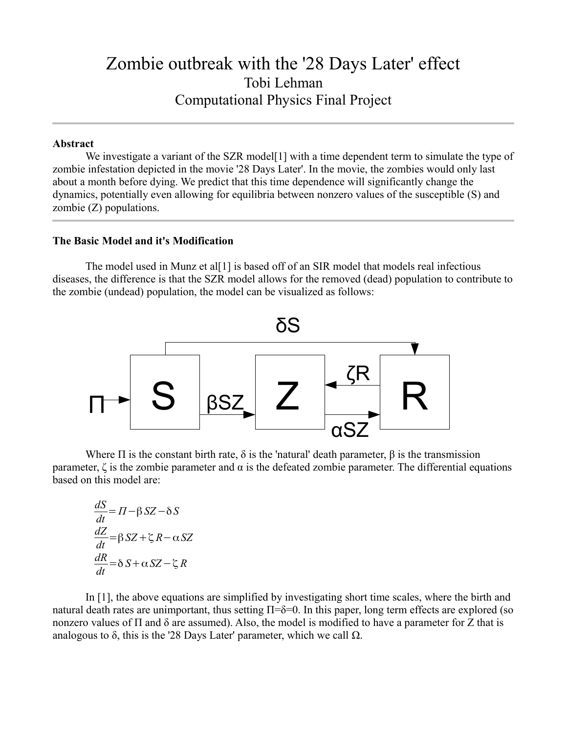# Zombie outbreak with the '28 Days Later' effect Tobi Lehman Computational Physics Final Project

#### **Abstract**

We investigate a variant of the SZR model<sup>[1]</sup> with a time dependent term to simulate the type of zombie infestation depicted in the movie '28 Days Later'. In the movie, the zombies would only last about a month before dying. We predict that this time dependence will significantly change the dynamics, potentially even allowing for equilibria between nonzero values of the susceptible (S) and zombie (Z) populations.

### **The Basic Model and it's Modification**

The model used in Munz et al[1] is based off of an SIR model that models real infectious diseases, the difference is that the SZR model allows for the removed (dead) population to contribute to the zombie (undead) population, the model can be visualized as follows:



Where  $\Pi$  is the constant birth rate,  $\delta$  is the 'natural' death parameter,  $\beta$  is the transmission parameter,  $\zeta$  is the zombie parameter and  $\alpha$  is the defeated zombie parameter. The differential equations based on this model are:

$$
\frac{dS}{dt} = \Pi - \beta SZ - \delta S
$$

$$
\frac{dZ}{dt} = \beta SZ + \zeta R - \alpha SZ
$$

$$
\frac{dR}{dt} = \delta S + \alpha SZ - \zeta R
$$

In [1], the above equations are simplified by investigating short time scales, where the birth and natural death rates are unimportant, thus setting  $\Pi$ =δ=0. In this paper, long term effects are explored (so nonzero values of Π and δ are assumed). Also, the model is modified to have a parameter for Z that is analogous to  $\delta$ , this is the '28 Days Later' parameter, which we call  $\Omega$ .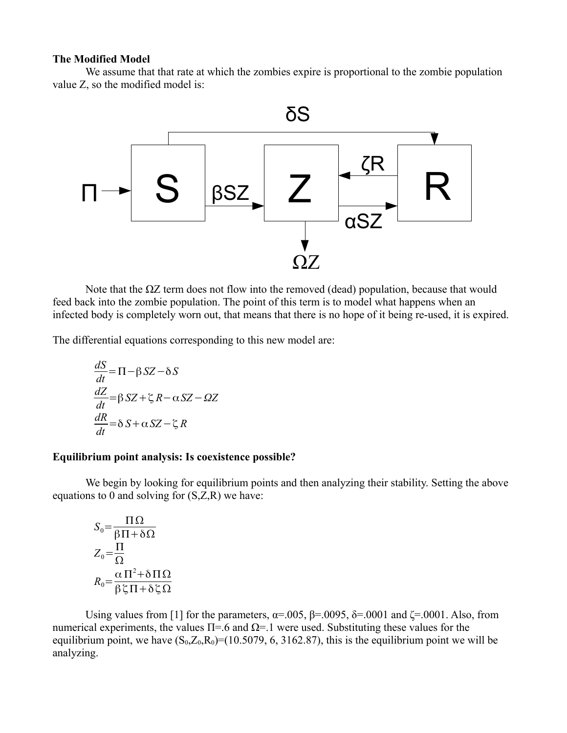#### **The Modified Model**

We assume that that rate at which the zombies expire is proportional to the zombie population value Z, so the modified model is:



Note that the  $ΩZ$  term does not flow into the removed (dead) population, because that would feed back into the zombie population. The point of this term is to model what happens when an infected body is completely worn out, that means that there is no hope of it being re-used, it is expired.

The differential equations corresponding to this new model are:

$$
\frac{dS}{dt} = \Pi - \beta SZ - \delta S
$$
  

$$
\frac{dZ}{dt} = \beta SZ + \zeta R - \alpha SZ - \Omega Z
$$
  

$$
\frac{dR}{dt} = \delta S + \alpha SZ - \zeta R
$$

#### **Equilibrium point analysis: Is coexistence possible?**

We begin by looking for equilibrium points and then analyzing their stability. Setting the above equations to 0 and solving for  $(S,Z,R)$  we have:

$$
S_0 = \frac{\Pi \Omega}{\beta \Pi + \delta \Omega}
$$
  
\n
$$
Z_0 = \frac{\Pi}{\Omega}
$$
  
\n
$$
R_0 = \frac{\alpha \Pi^2 + \delta \Pi \Omega}{\beta \zeta \Pi + \delta \zeta \Omega}
$$

Using values from [1] for the parameters,  $\alpha = .005$ ,  $\beta = .0095$ ,  $\delta = .0001$  and  $\zeta = .0001$ . Also, from numerical experiments, the values  $\Pi = .6$  and  $\Omega = .1$  were used. Substituting these values for the equilibrium point, we have  $(S_0, Z_0, R_0) = (10.5079, 6, 3162.87)$ , this is the equilibrium point we will be analyzing.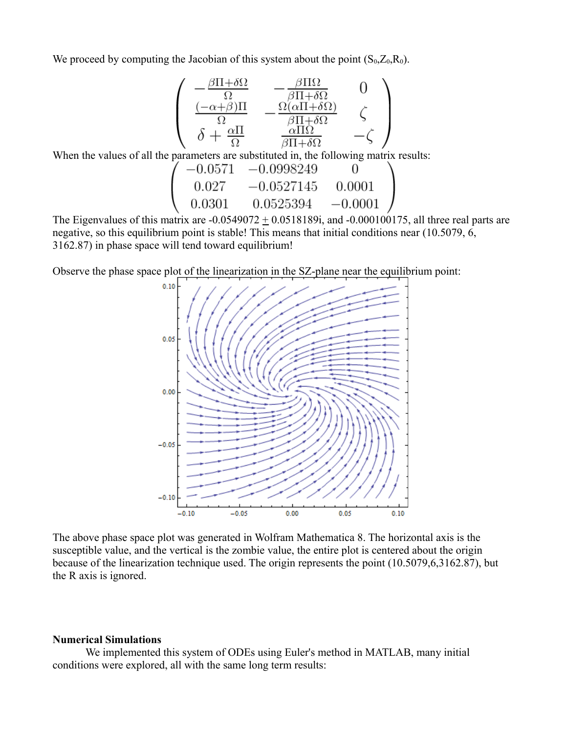We proceed by computing the Jacobian of this system about the point  $(S_0, Z_0, R_0)$ .

$$
\begin{pmatrix}\n-\frac{\beta\Pi+\delta\Omega}{\Omega} & -\frac{\beta\Pi\Omega}{\beta\Pi+\delta\Omega} & 0 \\
\frac{(-\alpha+\beta)\Pi}{\Omega} & -\frac{\Omega(\alpha\Pi+\delta\Omega)}{\beta\Pi+\delta\Omega} & \zeta \\
\delta + \frac{\alpha\Pi}{\Omega} & \frac{\alpha\Pi\Omega}{\beta\Pi+\delta\Omega} & -\zeta\n\end{pmatrix}
$$

When the values of all the parameters are substituted in, the following matrix results:

$$
\begin{array}{cccc}\n(-0.0571 & -0.0998249 & 0 \\
0.027 & -0.0527145 & 0.0001 \\
0.0301 & 0.0525394 & -0.0001\n\end{array}
$$

The Eigenvalues of this matrix are  $-0.0549072 \pm 0.0518189$  i, and  $-0.000100175$ , all three real parts are negative, so this equilibrium point is stable! This means that initial conditions near (10.5079, 6, 3162.87) in phase space will tend toward equilibrium!

Observe the phase space plot of the linearization in the SZ-plane near the equilibrium point:



The above phase space plot was generated in Wolfram Mathematica 8. The horizontal axis is the susceptible value, and the vertical is the zombie value, the entire plot is centered about the origin because of the linearization technique used. The origin represents the point (10.5079,6,3162.87), but the R axis is ignored.

#### **Numerical Simulations**

We implemented this system of ODEs using Euler's method in MATLAB, many initial conditions were explored, all with the same long term results: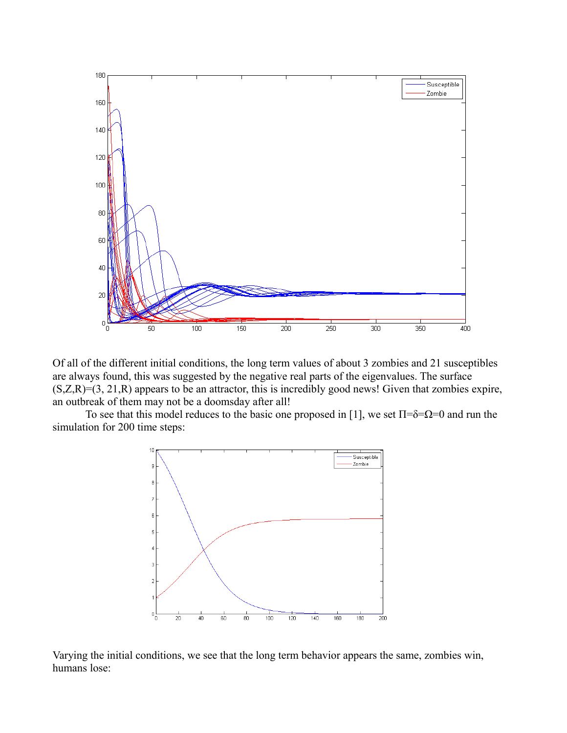

Of all of the different initial conditions, the long term values of about 3 zombies and 21 susceptibles are always found, this was suggested by the negative real parts of the eigenvalues. The surface  $(S,Z,R)=(3, 21,R)$  appears to be an attractor, this is incredibly good news! Given that zombies expire, an outbreak of them may not be a doomsday after all!

To see that this model reduces to the basic one proposed in [1], we set  $\Pi$ =δ= $\Omega$ =0 and run the simulation for 200 time steps:



Varying the initial conditions, we see that the long term behavior appears the same, zombies win, humans lose: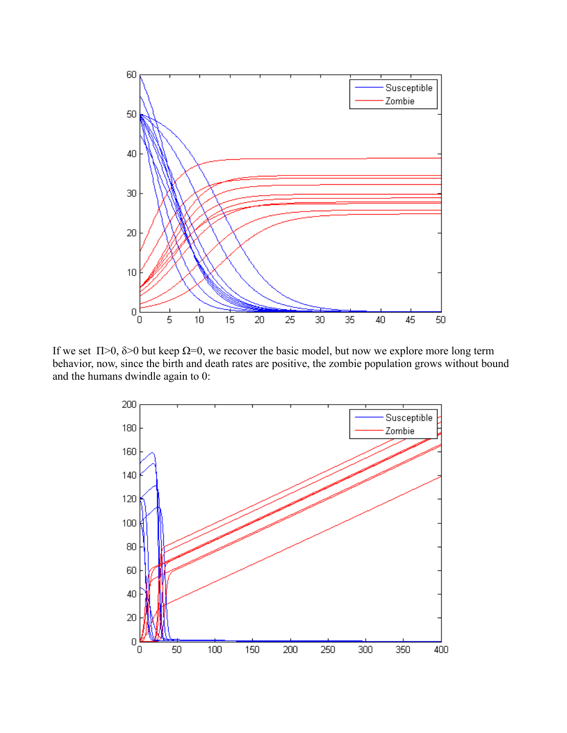

If we set  $\Pi$ >0,  $\delta$ >0 but keep  $\Omega$ =0, we recover the basic model, but now we explore more long term behavior, now, since the birth and death rates are positive, the zombie population grows without bound and the humans dwindle again to 0: